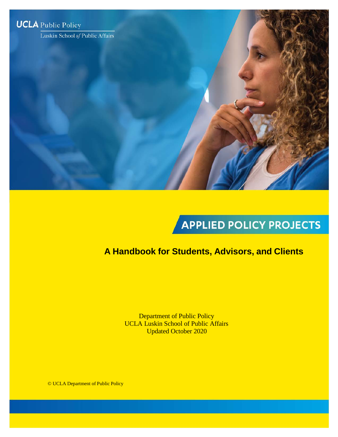# **UCLA** Public Policy

Luskin School of Public Affairs

# **APPLIED POLICY PROJECTS**

## **A Handbook for Students, Advisors, and Clients**

Department of Public Policy UCLA Luskin School of Public Affairs Updated October 2020

© UCLA Department of Public Policy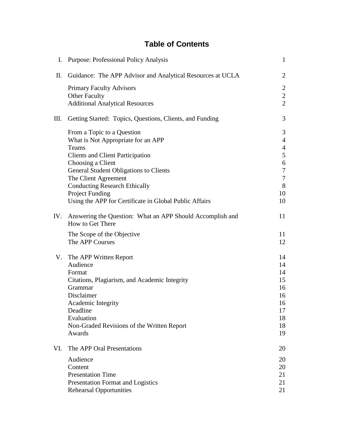## **Table of Contents**

| Ι.  | <b>Purpose: Professional Policy Analysis</b>                                  | $\mathbf{1}$   |
|-----|-------------------------------------------------------------------------------|----------------|
| П.  | Guidance: The APP Advisor and Analytical Resources at UCLA                    | $\overline{2}$ |
|     | <b>Primary Faculty Advisors</b>                                               | 2              |
|     | <b>Other Faculty</b>                                                          | $\mathbf{2}$   |
|     | <b>Additional Analytical Resources</b>                                        | $\overline{2}$ |
| Ш.  | Getting Started: Topics, Questions, Clients, and Funding                      | 3              |
|     | From a Topic to a Question                                                    | 3              |
|     | What is Not Appropriate for an APP                                            | $\overline{4}$ |
|     | Teams                                                                         | $\overline{4}$ |
|     | <b>Clients and Client Participation</b><br>Choosing a Client                  | 5<br>6         |
|     | <b>General Student Obligations to Clients</b>                                 | $\tau$         |
|     | The Client Agreement                                                          | $\tau$         |
|     | <b>Conducting Research Ethically</b>                                          | 8              |
|     | <b>Project Funding</b>                                                        | 10             |
|     | Using the APP for Certificate in Global Public Affairs                        | 10             |
| IV. | Answering the Question: What an APP Should Accomplish and<br>How to Get There | 11             |
|     | The Scope of the Objective                                                    | 11             |
|     | The APP Courses                                                               | 12             |
| V.  | The APP Written Report                                                        | 14             |
|     | Audience                                                                      | 14             |
|     | Format                                                                        | 14             |
|     | Citations, Plagiarism, and Academic Integrity<br>Grammar                      | 15<br>16       |
|     | Disclaimer                                                                    | 16             |
|     | Academic Integrity                                                            | 16             |
|     | Deadline                                                                      | 17             |
|     | Evaluation                                                                    | 18             |
|     | Non-Graded Revisions of the Written Report                                    | 18             |
|     | Awards                                                                        | 19             |
| VI. | The APP Oral Presentations                                                    | 20             |
|     | Audience                                                                      | 20             |
|     | Content                                                                       | 20             |
|     | <b>Presentation Time</b><br>Presentation Format and Logistics                 | 21<br>21       |
|     | <b>Rehearsal Opportunities</b>                                                | 21             |
|     |                                                                               |                |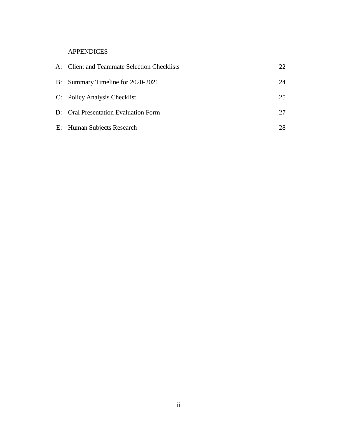## APPENDICES

|  | A: Client and Teammate Selection Checklists | 22. |
|--|---------------------------------------------|-----|
|  | B: Summary Timeline for 2020-2021           | 24  |
|  | C: Policy Analysis Checklist                | 25  |
|  | D: Oral Presentation Evaluation Form        | 27  |
|  | E: Human Subjects Research                  | 28  |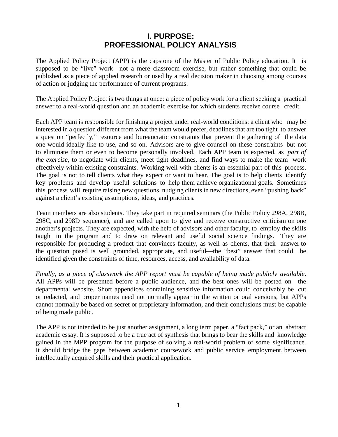## **I. PURPOSE: PROFESSIONAL POLICY ANALYSIS**

The Applied Policy Project (APP) is the capstone of the Master of Public Policy education. It is supposed to be "live" work—not a mere classroom exercise, but rather something that could be published as a piece of applied research or used by a real decision maker in choosing among courses of action or judging the performance of current programs.

The Applied Policy Project is two things at once: a piece of policy work for a client seeking a practical answer to a real-world question and an academic exercise for which students receive course credit.

Each APP team is responsible for finishing a project under real-world conditions: a client who may be interested in a question different from what the team would prefer, deadlinesthat are too tight to answer a question "perfectly," resource and bureaucratic constraints that prevent the gathering of the data one would ideally like to use, and so on. Advisors are to give counsel on these constraints but not to eliminate them or even to become personally involved. Each APP team is expected, as *part of the exercise*, to negotiate with clients, meet tight deadlines, and find ways to make the team work effectively within existing constraints. Working well with clients is an essential part of this process. The goal is not to tell clients what they expect or want to hear. The goal is to help clients identify key problems and develop useful solutions to help them achieve organizational goals. Sometimes this process will require raising new questions, nudging clients in new directions, even "pushing back" against a client's existing assumptions, ideas, and practices.

Team members are also students. They take part in required seminars (the Public Policy 298A, 298B, 298C, and 298D sequence), and are called upon to give and receive constructive criticism on one another's projects. They are expected, with the help of advisors and other faculty, to employ the skills taught in the program and to draw on relevant and useful social science findings. They are responsible for producing a product that convinces faculty, as well as clients, that their answer to the question posed is well grounded, appropriate, and useful—the "best" answer that could be identified given the constraints of time, resources, access, and availability of data.

*Finally, as a piece of classwork the APP report must be capable of being made publicly available*. All APPs will be presented before a public audience, and the best ones will be posted on the departmental website. Short appendices containing sensitive information could conceivably be cut or redacted, and proper names need not normally appear in the written or oral versions, but APPs cannot normally be based on secret or proprietary information, and their conclusions must be capable of being made public.

The APP is not intended to be just another assignment, a long term paper, a "fact pack," or an abstract academic essay. It is supposed to be a true act of synthesis that brings to bear the skills and knowledge gained in the MPP program for the purpose of solving a real-world problem of some significance. It should bridge the gaps between academic coursework and public service employment, between intellectually acquired skills and their practical application.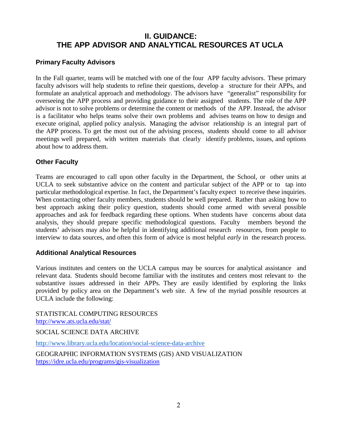## **II. GUIDANCE: THE APP ADVISOR AND ANALYTICAL RESOURCES AT UCLA**

## **Primary Faculty Advisors**

In the Fall quarter, teams will be matched with one of the four APP faculty advisors. These primary faculty advisors will help students to refine their questions, develop a structure for their APPs, and formulate an analytical approach and methodology. The advisors have "generalist" responsibility for overseeing the APP process and providing guidance to their assigned students. The role of the APP advisor is not to solve problems or determine the content or methods of the APP. Instead, the advisor is a facilitator who helps teams solve their own problems and advises teams on how to design and execute original, applied policy analysis. Managing the advisor relationship is an integral part of the APP process. To get the most out of the advising process, students should come to all advisor meetings well prepared, with written materials that clearly identify problems, issues, and options about how to address them.

## **Other Faculty**

Teams are encouraged to call upon other faculty in the Department, the School, or other units at UCLA to seek substantive advice on the content and particular subject of the APP or to tap into particular methodological expertise. In fact, the Department's faculty expect to receive these inquiries. When contacting other faculty members, students should be well prepared. Rather than asking how to best approach asking their policy question, students should come armed with several possible approaches and ask for feedback regarding these options. When students have concerns about data analysis, they should prepare specific methodological questions. Faculty members beyond the students' advisors may also be helpful in identifying additional research resources, from people to interview to data sources, and often this form of advice is most helpful *early* in the research process.

## **Additional Analytical Resources**

Various institutes and centers on the UCLA campus may be sources for analytical assistance and relevant data. Students should become familiar with the institutes and centers most relevant to the substantive issues addressed in their APPs. They are easily identified by exploring the links provided by policy area on the Department's web site. A few of the myriad possible resources at UCLA include the following:

STATISTICAL COMPUTING RESOURCES <http://www.ats.ucla.edu/stat/>

SOCIAL SCIENCE DATA ARCHIVE

<http://www.library.ucla.edu/location/social-science-data-archive>

GEOGRAPHIC INFORMATION SYSTEMS (GIS) AND VISUALIZATION <https://idre.ucla.edu/programs/gis-visualization>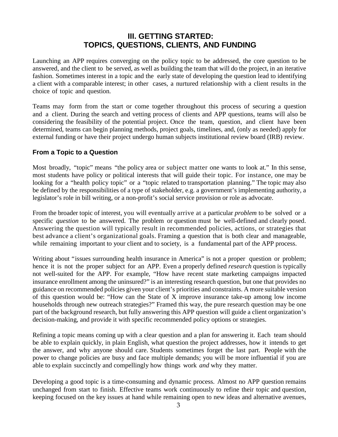## **III. GETTING STARTED: TOPICS, QUESTIONS, CLIENTS, AND FUNDING**

Launching an APP requires converging on the policy topic to be addressed, the core question to be answered, and the client to be served, as well as building the team that will do the project, in an iterative fashion. Sometimes interest in a topic and the early state of developing the question lead to identifying a client with a comparable interest; in other cases, a nurtured relationship with a client results in the choice of topic and question.

Teams may form from the start or come together throughout this process of securing a question and a client. During the search and vetting process of clients and APP questions, teams will also be considering the feasibility of the potential project. Once the team, question, and client have been determined, teams can begin planning methods, project goals, timelines, and, (only as needed) apply for external funding or have their project undergo human subjects institutional review board (IRB) review.

## **From a Topic to a Question**

Most broadly, "topic" means "the policy area or subject matter one wants to look at." In this sense, most students have policy or political interests that will guide their topic. For instance, one may be looking for a "health policy topic" or a "topic related to transportation planning." The topic may also be defined by the responsibilities of a type of stakeholder, e.g. a government's implementing authority, a legislator's role in bill writing, or a non-profit's social service provision or role as advocate.

From the broader topic of interest, you will eventually arrive at a particular *problem* to be solved or a specific *question* to be answered. The problem or question must be well-defined and clearly posed. Answering the question will typically result in recommended policies, actions, or strategies that best advance a client's organizational goals. Framing a question that is both clear and manageable, while remaining important to your client and to society, is a fundamental part of the APP process.

Writing about "issues surrounding health insurance in America" is not a proper question or problem; hence it is not the proper subject for an APP. Even a properly defined *research* question is typically not well-suited for the APP. For example, "How have recent state marketing campaigns impacted insurance enrollment among the uninsured?" is an interesting research question, but one that provides no guidance on recommended policies given your client's priorities and constraints. A more suitable version of this question would be: "How can the State of X improve insurance take-up among low income households through new outreach strategies?" Framed this way, the pure research question may be one part of the background research, but fully answering this APP question will guide a client organization's decision-making, and provide it with specific recommended policy options or strategies.

Refining a topic means coming up with a clear question and a plan for answering it. Each team should be able to explain quickly, in plain English, what question the project addresses, how it intends to get the answer, and why anyone should care. Students sometimes forget the last part. People with the power to change policies are busy and face multiple demands; you will be more influential if you are able to explain succinctly and compellingly how things work *and* why they matter.

Developing a good topic is a time-consuming and dynamic process. Almost no APP question remains unchanged from start to finish. Effective teams work continuously to refine their topic and question, keeping focused on the key issues at hand while remaining open to new ideas and alternative avenues,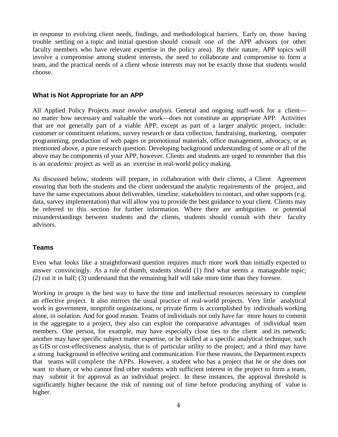in response to evolving client needs, findings, and methodological barriers. Early on, those having trouble settling on a topic and initial question should consult one of the APP advisors (or other faculty members who have relevant expertise in the policy area). By their nature, APP topics will involve a compromise among student interests, the need to collaborate and compromise to form a team, and the practical needs of a client whose interests may not be exactly those that students would choose.

#### **What is Not Appropriate for an APP**

All Applied Policy Projects *must involve analysis.* General and ongoing staff-work for a client no matter how necessary and valuable the work—does not constitute an appropriate APP. Activities that are *not* generally part of a viable APP, except as part of a larger analytic project, include: customer or constituent relations, survey research or data collection, fundraising, marketing, computer programming, production of web pages or promotional materials, office management, advocacy, or as mentioned above, a pure research question. Developing background understanding of some or all of the above may be components of your APP, however. Clients and students are urged to remember that this is an *academic* project as well as an exercise in real-world policy making.

As discussed below, students will prepare, in collaboration with their clients, a Client Agreement ensuring that both the students and the client understand the analytic requirements of the project, and have the same expectations about deliverables, timeline, stakeholders to contact, and other supports (e.g. data, survey implementation) that will allow you to provide the best guidance to your client. Clients may be referred to this section for further information. Where there are ambiguities or potential misunderstandings between students and the clients, students should consult with their faculty advisors.

#### **Teams**

Even what looks like a straightforward question requires much more work than initially expected to answer convincingly. As a rule of thumb, students should (1) find what seems a manageable topic; (2) cut it in half; (3) understand that the remaining half will take more time than they foresee.

*Working in groups* is the best way to have the time and intellectual resources necessary to complete an effective project. It also mirrors the usual practice of real-world projects. Very little analytical work in government, nonprofit organizations, or private firms is accomplished by individuals working alone, in isolation. And for good reason. Teams of individuals not only have far more hours to commit in the aggregate to a project, they also can exploit the comparative advantages of individual team members. One person, for example, may have especially close ties to the client and its network; another may have specific subject matter expertise, or be skilled at a specific analytical technique, such as GIS or cost-effectiveness analysis, that is of particular utility to the project; and a third may have a strong background in effective writing and communication. For these reasons, the Department expects that teams will complete the APPs. However, a student who has a project that he or she does not want to share, or who cannot find other students with sufficient interest in the project to form a team, may submit it for approval as an individual project. In these instances, the approval threshold is significantly higher because the risk of running out of time before producing anything of value is higher.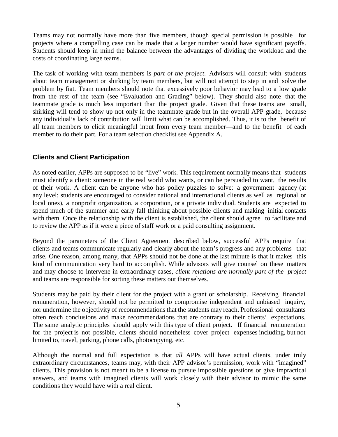Teams may not normally have more than five members, though special permission is possible for projects where a compelling case can be made that a larger number would have significant payoffs. Students should keep in mind the balance between the advantages of dividing the workload and the costs of coordinating large teams.

The task of working with team members is *part of the project*. Advisors will consult with students about team management or shirking by team members, but will not attempt to step in and solve the problem by fiat. Team members should note that excessively poor behavior may lead to a low grade from the rest of the team (see "Evaluation and Grading" below). They should also note that the teammate grade is much less important than the project grade. Given that these teams are small, shirking will tend to show up not only in the teammate grade but in the overall APP grade, because any individual's lack of contribution will limit what can be accomplished. Thus, it is to the benefit of all team members to elicit meaningful input from every team member—and to the benefit of each member to do their part. For a team selection checklist see Appendix A.

### **Clients and Client Participation**

As noted earlier, APPs are supposed to be "live" work. This requirement normally means that students must identify a client: someone in the real world who wants, or can be persuaded to want, the results of their work. A client can be anyone who has policy puzzles to solve: a government agency (at any level; students are encouraged to consider national and international clients as well as regional or local ones), a nonprofit organization, a corporation, or a private individual. Students are expected to spend much of the summer and early fall thinking about possible clients and making initial contacts with them. Once the relationship with the client is established, the client should agree to facilitate and to review the APP as if it were a piece of staff work or a paid consulting assignment.

Beyond the parameters of the Client Agreement described below, successful APPs require that clients and teams communicate regularly and clearly about the team's progress and any problems that arise. One reason, among many, that APPs should not be done at the last minute is that it makes this kind of communication very hard to accomplish. While advisors will give counsel on these matters and may choose to intervene in extraordinary cases, *client relations are normally part of the project* and teams are responsible for sorting these matters out themselves.

Students may be paid by their client for the project with a grant or scholarship. Receiving financial remuneration, however, should not be permitted to compromise independent and unbiased inquiry, nor undermine the objectivity of recommendations that the students may reach. Professional consultants often reach conclusions and make recommendations that are contrary to their clients' expectations. The same analytic principles should apply with this type of client project. If financial remuneration for the project is not possible, clients should nonetheless cover project expenses including, but not limited to, travel, parking, phone calls, photocopying, etc.

Although the normal and full expectation is that *all* APPs will have actual clients, under truly extraordinary circumstances, teams may, with their APP advisor's permission, work with "imagined" clients. This provision is not meant to be a license to pursue impossible questions or give impractical answers, and teams with imagined clients will work closely with their advisor to mimic the same conditions they would have with a real client.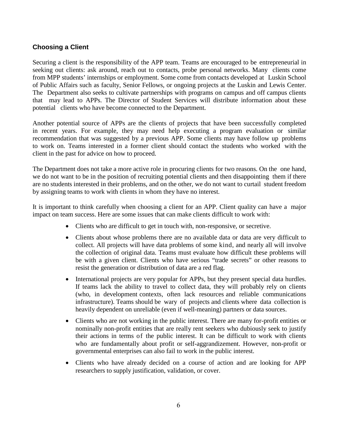## **Choosing a Client**

Securing a client is the responsibility of the APP team. Teams are encouraged to be entrepreneurial in seeking out clients: ask around, reach out to contacts, probe personal networks. Many clients come from MPP students' internships or employment. Some come from contacts developed at Luskin School of Public Affairs such as faculty, Senior Fellows, or ongoing projects at the Luskin and Lewis Center. The Department also seeks to cultivate partnerships with programs on campus and off campus clients that may lead to APPs. The Director of Student Services will distribute information about these potential clients who have become connected to the Department.

Another potential source of APPs are the clients of projects that have been successfully completed in recent years. For example, they may need help executing a program evaluation or similar recommendation that was suggested by a previous APP. Some clients may have follow up problems to work on. Teams interested in a former client should contact the students who worked with the client in the past for advice on how to proceed.

The Department does not take a more active role in procuring clients for two reasons. On the one hand, we do not want to be in the position of recruiting potential clients and then disappointing them if there are no students interested in their problems, and on the other, we do not want to curtail student freedom by assigning teams to work with clients in whom they have no interest.

It is important to think carefully when choosing a client for an APP. Client quality can have a major impact on team success. Here are some issues that can make clients difficult to work with:

- Clients who are difficult to get in touch with, non-responsive, or secretive.
- Clients about whose problems there are no available data or data are very difficult to collect. All projects will have data problems of some kind, and nearly all will involve the collection of original data. Teams must evaluate how difficult these problems will be with a given client. Clients who have serious "trade secrets" or other reasons to resist the generation or distribution of data are a red flag.
- International projects are very popular for APPs, but they present special data hurdles. If teams lack the ability to travel to collect data, they will probably rely on clients (who, in development contexts, often lack resources and reliable communications infrastructure). Teams should be wary of projects and clients where data collection is heavily dependent on unreliable (even if well-meaning) partners or data sources.
- Clients who are not working in the public interest. There are many for-profit entities or nominally non-profit entities that are really rent seekers who dubiously seek to justify their actions in terms of the public interest. It can be difficult to work with clients who are fundamentally about profit or self-aggrandizement. However, non-profit or governmental enterprises can also fail to work in the public interest.
- Clients who have already decided on a course of action and are looking for APP researchers to supply justification, validation, or cover.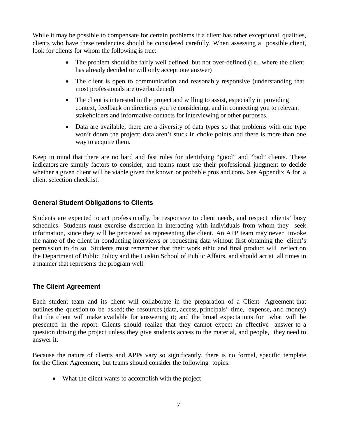While it may be possible to compensate for certain problems if a client has other exceptional qualities, clients who have these tendencies should be considered carefully. When assessing a possible client, look for clients for whom the following is true:

- The problem should be fairly well defined, but not over-defined (i.e., where the client has already decided or will only accept one answer)
- The client is open to communication and reasonably responsive (understanding that most professionals are overburdened)
- The client is interested in the project and willing to assist, especially in providing context, feedback on directions you're considering, and in connecting you to relevant stakeholders and informative contacts for interviewing or other purposes.
- Data are available; there are a diversity of data types so that problems with one type won't doom the project; data aren't stuck in choke points and there is more than one way to acquire them.

Keep in mind that there are no hard and fast rules for identifying "good" and "bad" clients. These indicators are simply factors to consider, and teams must use their professional judgment to decide whether a given client will be viable given the known or probable pros and cons. See Appendix A for a client selection checklist.

## **General Student Obligations to Clients**

Students are expected to act professionally, be responsive to client needs, and respect clients' busy schedules. Students must exercise discretion in interacting with individuals from whom they seek information, since they will be perceived as representing the client. An APP team may never invoke the name of the client in conducting interviews or requesting data without first obtaining the client's permission to do so. Students must remember that their work ethic and final product will reflect on the Department of Public Policy and the Luskin School of Public Affairs, and should act at all times in a manner that represents the program well.

## **The Client Agreement**

Each student team and its client will collaborate in the preparation of a Client Agreement that outlines the question to be asked; the resources (data, access, principals' time, expense, and money) that the client will make available for answering it; and the broad expectations for what will be presented in the report. Clients should realize that they cannot expect an effective answer to a question driving the project unless they give students access to the material, and people, they need to answer it.

Because the nature of clients and APPs vary so significantly, there is no formal, specific template for the Client Agreement, but teams should consider the following topics:

• What the client wants to accomplish with the project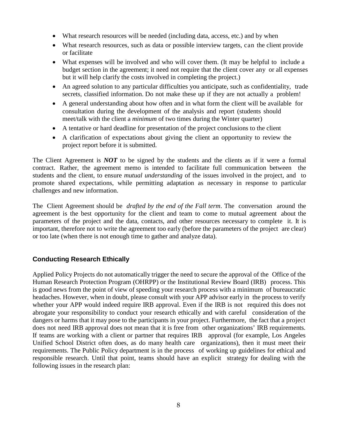- What research resources will be needed (including data, access, etc.) and by when
- What research resources, such as data or possible interview targets, can the client provide or facilitate
- What expenses will be involved and who will cover them. (It may be helpful to include a budget section in the agreement; it need not require that the client cover any or all expenses but it will help clarify the costs involved in completing the project.)
- An agreed solution to any particular difficulties you anticipate, such as confidentiality, trade secrets, classified information. Do not make these up if they are not actually a problem!
- A general understanding about how often and in what form the client will be available for consultation during the development of the analysis and report (students should meet/talk with the client a *minimum* of two times during the Winter quarter)
- A tentative or hard deadline for presentation of the project conclusions to the client
- A clarification of expectations about giving the client an opportunity to review the project report before it is submitted.

The Client Agreement is *NOT* to be signed by the students and the clients as if it were a formal contract. Rather, the agreement memo is intended to facilitate full communication between the students and the client, to ensure *mutual understanding* of the issues involved in the project, and to promote shared expectations, while permitting adaptation as necessary in response to particular challenges and new information.

The Client Agreement should be *drafted by the end of the Fall term*. The conversation around the agreement is the best opportunity for the client and team to come to mutual agreement about the parameters of the project and the data, contacts, and other resources necessary to complete it. It is important, therefore not to write the agreement too early (before the parameters of the project are clear) or too late (when there is not enough time to gather and analyze data).

## **Conducting Research Ethically**

Applied Policy Projects do not automatically trigger the need to secure the approval of the Office of the Human Research Protection Program (OHRPP) or the Institutional Review Board (IRB) process. This is good news from the point of view of speeding your research process with a minimum of bureaucratic headaches. However, when in doubt, please consult with your APP advisor early in the process to verify whether your APP would indeed require IRB approval. Even if the IRB is not required this does not abrogate your responsibility to conduct your research ethically and with careful consideration of the dangers or harms that it may pose to the participants in your project. Furthermore, the fact that a project does not need IRB approval does not mean that it is free from other organizations' IRB requirements. If teams are working with a client or partner that requires IRB approval (for example, Los Angeles Unified School District often does, as do many health care organizations), then it must meet their requirements. The Public Policy department is in the process of working up guidelines for ethical and responsible research. Until that point, teams should have an explicit strategy for dealing with the following issues in the research plan: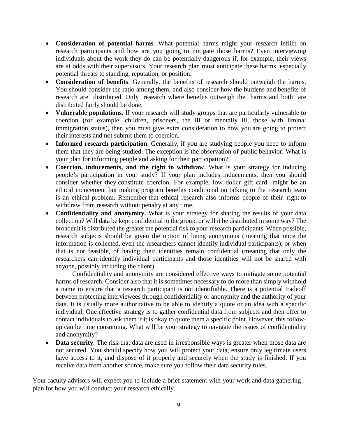- **Consideration of potential harms**. What potential harms might your research inflict on research participants and how are you going to mitigate those harms? Even interviewing individuals about the work they do can be potentially dangerous if, for example, their views are at odds with their supervisors. Your research plan must anticipate these harms, especially potential threats to standing, reputation, or position.
- **Consideration of benefits**. Generally, the benefits of research should outweigh the harms. You should consider the ratio among them, and also consider how the burdens and benefits of research are distributed. Only research where benefits outweigh the harms and both are distributed fairly should be done.
- **Vulnerable populations**. If your research will study groups that are particularly vulnerable to coercion (for example, children, prisoners, the ill or mentally ill, those with liminal immigration status), then you must give extra consideration to how you are going to protect their interests and not submit them to coercion.
- **Informed research participation**. Generally, if you are studying people you need to inform them that they are being studied. The exception is the observation of public behavior. What is your plan for informing people and asking for their participation?
- **Coercion, inducements, and the right to withdraw**. What is your strategy for inducing people's participation in your study? If your plan includes inducements, then you should consider whether they constitute coercion. For example, low dollar gift card might be an ethical inducement but making program benefits conditional on talking to the research team is an ethical problem. Remember that ethical research also informs people of their right to withdraw from research without penalty at any time.
- **Confidentiality and anonymity.** What is your strategy for sharing the results of your data collection? Will data be kept confidential to the group, or will it be distributed in some way? The broader it is distributed the greater the potential risk to your research participants. When possible, research subjects should be given the option of being anonymous (meaning that once the information is collected, even the researchers cannot identify individual participants), or when that is not feasible, of having their identities remain confidential (meaning that only the researchers can identify individual participants and those identities will not be shared with anyone, possibly including the client).

Confidentiality and anonymity are considered effective ways to mitigate some potential harms of research. Consider also that it is sometimes necessary to do more than simply withhold a name to ensure that a research participant is not identifiable. There is a potential tradeoff between protecting interviewees through confidentiality or anonymity and the authority of your data. It is usually more authoritative to be able to identify a quote or an idea with a specific individual. One effective strategy is to gather confidential data from subjects and then offer to contact individuals to ask them if it is okay to quote them a specific point. However, this followup can be time consuming. What will be your strategy to navigate the issues of confidentiality and anonymity?

• **Data security**. The risk that data are used in irresponsible ways is greater when those data are not secured. You should specify how you will protect your data, ensure only legitimate users have access to it, and dispose of it properly and securely when the study is finished. If you receive data from another source, make sure you follow their data security rules.

Your faculty advisors will expect you to include a brief statement with your work and data gathering plan for how you will conduct your research ethically.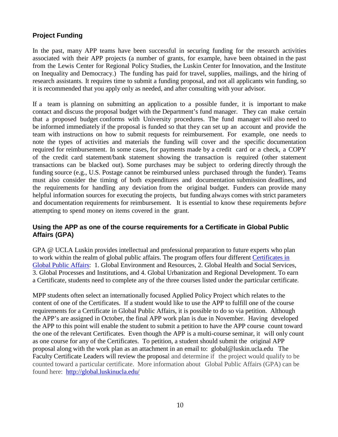## **Project Funding**

In the past, many APP teams have been successful in securing funding for the research activities associated with their APP projects (a number of grants, for example, have been obtained in the past from the Lewis Center for Regional Policy Studies, the Luskin Center for Innovation, and the Institute on Inequality and Democracy.) The funding has paid for travel, supplies, mailings, and the hiring of research assistants. It requires time to submit a funding proposal, and not all applicants win funding, so it is recommended that you apply only as needed, and after consulting with your advisor.

If a team is planning on submitting an application to a possible funder, it is important to make contact and discuss the proposal budget with the Department's fund manager. They can make certain that a proposed budget conforms with University procedures. The fund manager will also need to be informed immediately if the proposal is funded so that they can set up an account and provide the team with instructions on how to submit requests for reimbursement. For example, one needs to note the types of activities and materials the funding will cover and the specific documentation required for reimbursement. In some cases, for payments made by a credit card or a check, a COPY of the credit card statement/bank statement showing the transaction is required (other statement transactions can be blacked out). Some purchases may be subject to ordering directly through the funding source (e.g., U.S. Postage cannot be reimbursed unless purchased through the funder). Teams must also consider the timing of both expenditures and documentation submission deadlines, and the requirements for handling any deviation from the original budget. Funders can provide many helpful information sources for executing the projects, but funding always comes with strict parameters and documentation requirements for reimbursement. It is essential to know these requirements *before* attempting to spend money on items covered in the grant.

## **Using the APP as one of the course requirements for a Certificate in Global Public Affairs (GPA)**

GPA @ UCLA Luskin provides intellectual and professional preparation to future experts who plan to work within the realm of global public affairs. The program offers four different [Certificates](http://global.luskin.ucla.edu/) in Global Public [Affairs:](http://global.luskin.ucla.edu/) 1. Global Environment and Resources, 2. Global Health and Social Services, 3. Global Processes and Institutions, and 4. Global Urbanization and Regional Development. To earn a Certificate, students need to complete any of the three courses listed under the particular certificate.

MPP students often select an internationally focused Applied Policy Project which relates to the content of one of the Certificates. If a student would like to use the APP to fulfill one of the course requirements for a Certificate in Global Public Affairs, it is possible to do so via petition. Although the APP's are assigned in October, the final APP work plan is due in November. Having developed the APP to this point will enable the student to submit a petition to have the APP course count toward the one of the relevant Certificates. Even though the APP is a multi-course seminar, it will only count as one course for any of the Certificates. To petition, a student should submit the original APP proposal along with the work plan as an attachment in an email to: [global@luskin.ucla.edu](mailto:global@luskin.ucla.edu) The Faculty Certificate Leaders will review the proposal and determine if the project would qualify to be counted toward a particular certificate. More information about Global Public Affairs (GPA) can be found here: [http://global.luskinucla.edu/](http://global.luskin.ucla.edu/)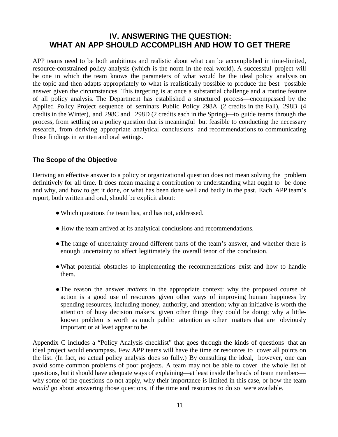## **IV. ANSWERING THE QUESTION: WHAT AN APP SHOULD ACCOMPLISH AND HOW TO GET THERE**

APP teams need to be both ambitious and realistic about what can be accomplished in time-limited, resource-constrained policy analysis (which is the norm in the real world). A successful project will be one in which the team knows the parameters of what would be the ideal policy analysis on the topic and then adapts appropriately to what is realistically possible to produce the best possible answer given the circumstances. This targeting is at once a substantial challenge and a routine feature of all policy analysis. The Department has established a structured process—encompassed by the Applied Policy Project sequence of seminars Public Policy 298A (2 credits in the Fall), 298B (4 credits in the Winter), and 298C and 298D (2 credits each in the Spring)—to guide teams through the process, from settling on a policy question that is meaningful but feasible to conducting the necessary research, from deriving appropriate analytical conclusions and recommendations to communicating those findings in written and oral settings.

### **The Scope of the Objective**

Deriving an effective answer to a policy or organizational question does not mean solving the problem definitively for all time. It does mean making a contribution to understanding what ought to be done and why, and how to get it done, or what has been done well and badly in the past. Each APP team's report, both written and oral, should be explicit about:

- Which questions the team has, and has not, addressed.
- How the team arrived at its analytical conclusions and recommendations.
- The range of uncertainty around different parts of the team's answer, and whether there is enough uncertainty to affect legitimately the overall tenor of the conclusion.
- ●What potential obstacles to implementing the recommendations exist and how to handle them.
- ●The reason the answer *matters* in the appropriate context: why the proposed course of action is a good use of resources given other ways of improving human happiness by spending resources, including money, authority, and attention; why an initiative is worth the attention of busy decision makers, given other things they could be doing; why a littleknown problem is worth as much public attention as other matters that are obviously important or at least appear to be.

Appendix C includes a "Policy Analysis checklist" that goes through the kinds of questions that an ideal project would encompass. Few APP teams will have the time or resources to cover all points on the list. (In fact, *no* actual policy analysis does so fully.) By consulting the ideal, however, one can avoid some common problems of poor projects. A team may not be able to cover the whole list of questions, but it should have adequate ways of explaining—at least inside the heads of team members why some of the questions do not apply, why their importance is limited in this case, or how the team *would* go about answering those questions, if the time and resources to do so were available.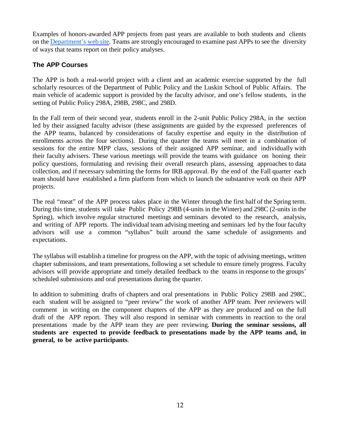Examples of honors-awarded APP projects from past years are available to both students and clients on the [Department's](https://luskin.ucla.edu/public-policy-2/for-our-students-2/) web site. Teams are strongly encouraged to examine past APPs to see the diversity of ways that teams report on their policy analyses.

## **The APP Courses**

The APP is both a real-world project with a client and an academic exercise supported by the full scholarly resources of the Department of Public Policy and the Luskin School of Public Affairs. The main vehicle of academic support is provided by the faculty advisor, and one's fellow students, in the setting of Public Policy 298A, 298B, 298C, and 298D.

In the Fall term of their second year, students enroll in the 2-unit Public Policy 298A, in the section led by their assigned faculty advisor (these assignments are guided by the expressed preferences of the APP teams, balanced by considerations of faculty expertise and equity in the distribution of enrollments across the four sections). During the quarter the teams will meet in a combination of sessions for the entire MPP class, sessions of their assigned APP seminar, and individually with their faculty advisers. These various meetings will provide the teams with guidance on honing their policy questions, formulating and revising their overall research plans, assessing approaches to data collection, and if necessary submitting the forms for IRB approval. By the end of the Fall quarter each team should have established a firm platform from which to launch the substantive work on their APP projects.

The real "meat" of the APP process takes place in the Winter through the first half of the Spring term. During this time, students will take Public Policy 298B (4-units in the Winter) and 298C (2-units in the Spring), which involve regular structured meetings and seminars devoted to the research, analysis, and writing of APP reports. The individual team advising meeting and seminars led by the four faculty advisors will use a common "syllabus" built around the same schedule of assignments and expectations.

The syllabus will establish a timeline for progress on the APP, with the topic of advising meetings, written chapter submissions, and team presentations, following a set schedule to ensure timely progress. Faculty advisors will provide appropriate and timely detailed feedback to the teams in response to the groups' scheduled submissions and oral presentations during the quarter.

In addition to submitting drafts of chapters and oral presentations in Public Policy 298B and 298C, each student will be assigned to "peer review" the work of another APP team. Peer reviewers will comment in writing on the component chapters of the APP as they are produced and on the full draft of the APP report. They will also respond in seminar with comments in reaction to the oral presentations made by the APP team they are peer reviewing. **During the seminar sessions, all students are expected to provide feedback to presentations made by the APP teams and, in general, to be active participants**.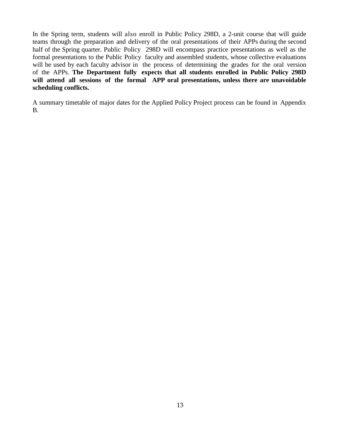In the Spring term, students will also enroll in Public Policy 298D, a 2-unit course that will guide teams through the preparation and delivery of the oral presentations of their APPs during the second half of the Spring quarter. Public Policy 298D will encompass practice presentations as well as the formal presentations to the Public Policy faculty and assembled students, whose collective evaluations will be used by each faculty advisor in the process of determining the grades for the oral version of the APPs. **The Department fully expects that all students enrolled in Public Policy 298D will attend all sessions of the formal APP oral presentations, unless there are unavoidable scheduling conflicts.**

A summary timetable of major dates for the Applied Policy Project process can be found in Appendix B.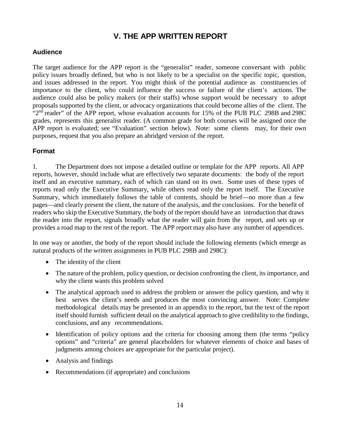## **V. THE APP WRITTEN REPORT**

### **Audience**

The target audience for the APP report is the "generalist" reader, someone conversant with public policy issues broadly defined, but who is not likely to be a specialist on the specific topic, question, and issues addressed in the report. You might think of the potential audience as constituencies of importance to the client, who could influence the success or failure of the client's actions. The audience could also be policy makers (or their staffs) whose support would be necessary to adopt proposals supported by the client, or advocacy organizations that could become allies of the client. The "2<sup>nd</sup> reader" of the APP report, whose evaluation accounts for 15% of the PUB PLC 298B and 298C grades, represents this generalist reader. (A common grade for both courses will be assigned once the APP report is evaluated; see "Evaluation" section below). Note: some clients may, for their own purposes, request that you also prepare an abridged version of the report.

### **Format**

1. The Department does not impose a detailed outline or template for the APP reports. All APP reports, however, should include what are effectively two separate documents: the body of the report itself and an executive summary, each of which can stand on its own. Some uses of these types of reports read only the Executive Summary, while others read only the report itself. The Executive Summary, which immediately follows the table of contents, should be brief—no more than a few pages—and clearly present the client, the nature of the analysis, and the conclusions. For the benefit of readers who skip the Executive Summary, the body of the report should have an introduction that draws the reader into the report, signals broadly what the reader will gain from the report, and sets up or provides a road map to the rest of the report. The APP report may also have any number of appendices.

In one way or another, the body of the report should include the following elements (which emerge as natural products of the written assignments in PUB PLC 298B and 298C):

- The identity of the client
- The nature of the problem, policy question, or decision confronting the client, its importance, and why the client wants this problem solved
- The analytical approach used to address the problem or answer the policy question, and why it best serves the client's needs and produces the most convincing answer. Note: Complete methodological details may be presented in an appendix to the report, but the text of the report itself should furnish sufficient detail on the analytical approach to give credibility to the findings, conclusions, and any recommendations.
- Identification of policy options and the criteria for choosing among them (the terms "policy options" and "criteria" are general placeholders for whatever elements of choice and bases of judgments among choices are appropriate for the particular project).
- Analysis and findings
- Recommendations (if appropriate) and conclusions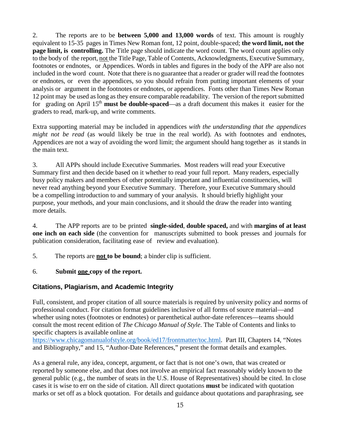2. The reports are to be **between 5,000 and 13,000 words** of text. This amount is roughly equivalent to 15-35 pages in Times New Roman font, 12 point, double-spaced; **the word limit, not the page limit, is controlling.** The Title page should indicate the word count. The word count applies only to the body of the report, not the Title Page, Table of Contents, Acknowledgments, Executive Summary, footnotes or endnotes, or Appendices. Words in tables and figures in the body of the APP are also not included in the word count. Note that there is no guarantee that a reader or grader will read the footnotes or endnotes, or even the appendices, so you should refrain from putting important elements of your analysis or argument in the footnotes or endnotes, or appendices. Fonts other than Times New Roman 12 point may be used as long as they ensure comparable readability. The version of the report submitted for grading on April 15th **must be double-spaced**—as a draft document this makes it easier for the graders to read, mark-up, and write comments.

Extra supporting material may be included in appendices *with the understanding that the appendices might not be read* (as would likely be true in the real world). As with footnotes and endnotes, Appendices are not a way of avoiding the word limit; the argument should hang together as it stands in the main text.

3. All APPs should include Executive Summaries. Most readers will read your Executive Summary first and then decide based on it whether to read your full report. Many readers, especially busy policy makers and members of other potentially important and influential constituencies, will never read anything beyond your Executive Summary. Therefore, your Executive Summary should be a compelling introduction to and summary of your analysis. It should briefly highlight your purpose, your methods, and your main conclusions, and it should the draw the reader into wanting more details.

4. The APP reports are to be printed **single-sided**, **double spaced,** and with **margins of at least one inch on each side** (the convention for manuscripts submitted to book presses and journals for publication consideration, facilitating ease of review and evaluation).

5. The reports are **not to be bound**; a binder clip is sufficient.

## 6. **Submit one copy of the report.**

## **Citations, Plagiarism, and Academic Integrity**

Full, consistent, and proper citation of all source materials is required by university policy and norms of professional conduct. For citation format guidelines inclusive of all forms of source material—and whether using notes (footnotes or endnotes) or parenthetical author-date references—teams should consult the most recent edition of *The Chicago Manual of Style*. The Table of Contents and links to specific chapters is available online at

[https://www.chicagomanualofstyle.org/book/ed17/frontmatter/toc.html.](https://www.chicagomanualofstyle.org/book/ed17/frontmatter/toc.html) Part III, Chapters 14, "Notes and Bibliography," and 15, "Author-Date References," present the format details and examples.

As a general rule, any idea, concept, argument, or fact that is not one's own, that was created or reported by someone else, and that does not involve an empirical fact reasonably widely known to the general public (e.g., the number of seats in the U.S. House of Representatives) should be cited. In close cases it is wise to err on the side of citation. All direct quotations **must** be indicated with quotation marks or set off as a block quotation. For details and guidance about quotations and paraphrasing, see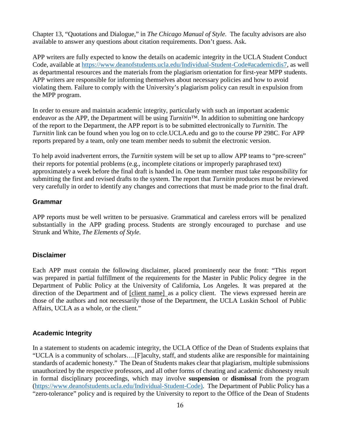Chapter 13, "Quotations and Dialogue," in *The Chicago Manual of Style*. The faculty advisors are also available to answer any questions about citation requirements. Don't guess. Ask.

APP writers are fully expected to know the details on academic integrity in the UCLA Student Conduct Code, available at [https://www.deanofstudents.ucla.edu/Individual-Student-Code#academicdis7,](https://www.deanofstudents.ucla.edu/Individual-Student-Code#academicdis7) as well as departmental resources and the materials from the plagiarism orientation for first-year MPP students. APP writers are responsible for informing themselves about necessary policies and how to avoid violating them. Failure to comply with the University's plagiarism policy can result in expulsion from the MPP program.

In order to ensure and maintain academic integrity, particularly with such an important academic endeavor as the APP, the Department will be using *Turnitin*™. In addition to submitting one hardcopy of the report to the Department, the APP report is to be submitted electronically to *Turnitin*. The *Turnitin* link can be found when you log on to ccle.UCLA.edu and go to the course PP 298C. For APP reports prepared by a team, only one team member needs to submit the electronic version.

To help avoid inadvertent errors, the *Turnitin* system will be set up to allow APP teams to "pre-screen" their reports for potential problems (e.g., incomplete citations or improperly paraphrased text) approximately a week before the final draft is handed in. One team member must take responsibility for submitting the first and revised drafts to the system. The report that *Turnitin* produces must be reviewed very carefully in order to identify any changes and corrections that must be made prior to the final draft.

### **Grammar**

APP reports must be well written to be persuasive. Grammatical and careless errors will be penalized substantially in the APP grading process. Students are strongly encouraged to purchase and use Strunk and White, *The Elements of Style*.

## **Disclaimer**

Each APP must contain the following disclaimer, placed prominently near the front: "This report was prepared in partial fulfillment of the requirements for the Master in Public Policy degree in the Department of Public Policy at the University of California, Los Angeles. It was prepared at the direction of the Department and of [client name] as a policy client. The views expressed herein are those of the authors and not necessarily those of the Department, the UCLA Luskin School of Public Affairs, UCLA as a whole, or the client."

## **Academic Integrity**

In a statement to students on academic integrity, the UCLA Office of the Dean of Students explains that "UCLA is a community of scholars….[F]aculty, staff, and students alike are responsible for maintaining standards of academic honesty." The Dean of Students makes clear that plagiarism, multiple submissions unauthorized by the respective professors, and all other forms of cheating and academic dishonesty result in formal disciplinary proceedings, which may involve **suspension** or **dismissal** from the program [\(https://www.deanofstudents.ucla.edu/Individual-Student-Code\)](https://www.deanofstudents.ucla.edu/Individual-Student-Code). The Department of Public Policy has a "zero-tolerance" policy and is required by the University to report to the Office of the Dean of Students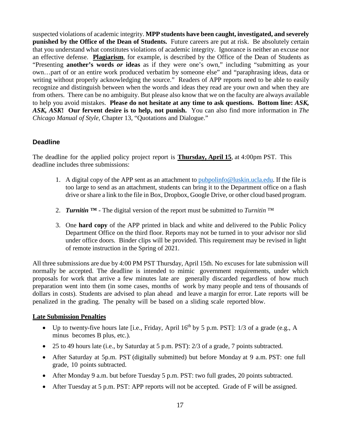suspected violations of academic integrity. **MPP students have been caught, investigated, and severely punished by the Office of the Dean of Students.** Future careers are put at risk. Be absolutely certain that you understand what constitutes violations of academic integrity. Ignorance is neither an excuse nor an effective defense. **Plagiarism**, for example, is described by the Office of the Dean of Students as "Presenting **another's words** *or* **ideas** as if they were one's own," including "submitting as your own…part of or an entire work produced verbatim by someone else" and "paraphrasing ideas, data or writing without properly acknowledging the source." Readers of APP reports need to be able to easily recognize and distinguish between when the words and ideas they read are your own and when they are from others. There can be no ambiguity. But please also know that we on the faculty are always available to help you avoid mistakes. **Please do not hesitate at any time to ask questions. Bottom line:** *ASK, ASK, ASK***! Our fervent desire is to help, not punish.** You can also find more information in *The Chicago Manual of Style,* Chapter 13, "Quotations and Dialogue."

### **Deadline**

The deadline for the applied policy project report is **Thursday, April 15**, at 4:00pm PST. This deadline includes three submissions:

- 1. A digital copy of the APP sent as an attachment to pubpolinfo@luskin.ucla.edu. If the file is too large to send as an attachment, students can bring it to the Department office on a flash drive or share a link to the file in Box, Dropbox, Google Drive, or other cloud based program.
- 2. *Turnitin* **™**  The digital version of the report must be submitted to *Turnitin* ™
- 3. One **hard copy** of the APP printed in black and white and delivered to the Public Policy Department Office on the third floor. Reports may not be turned in to your advisor nor slid under office doors. Binder clips will be provided. This requirement may be revised in light of remote instruction in the Spring of 2021.

All three submissions are due by 4:00 PM PST Thursday, April 15th. No excuses for late submission will normally be accepted. The deadline is intended to mimic government requirements, under which proposals for work that arrive a few minutes late are generally discarded regardless of how much preparation went into them (in some cases, months of work by many people and tens of thousands of dollars in costs). Students are advised to plan ahead and leave a margin for error. Late reports will be penalized in the grading. The penalty will be based on a sliding scale reported blow.

#### **Late Submission Penalties**

- Up to twenty-five hours late [i.e., Friday, April  $16^{th}$  by 5 p.m. PST]:  $1/3$  of a grade (e.g., A minus becomes B plus, etc.).
- 25 to 49 hours late (i.e., by Saturday at 5 p.m. PST): 2/3 of a grade, 7 points subtracted.
- After Saturday at 5p.m. PST (digitally submitted) but before Monday at 9 a.m. PST: one full grade, 10 points subtracted.
- After Monday 9 a.m. but before Tuesday 5 p.m. PST: two full grades, 20 points subtracted.
- After Tuesday at 5 p.m. PST: APP reports will not be accepted. Grade of F will be assigned.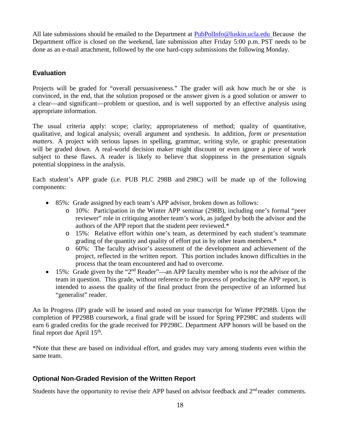All late submissions should be emailed to the Department at [PubPolInfo@luskin.ucla.edu](mailto:PubPolInfo@luskin.ucla.edu) Because the Department office is closed on the weekend, late submission after Friday 5:00 p.m. PST needs to be done as an e-mail attachment, followed by the one hard-copy submissions the following Monday.

## **Evaluation**

Projects will be graded for "overall persuasiveness." The grader will ask how much he or she is convinced, in the end, that the solution proposed or the answer given is a good solution or answer to a clear—and significant—problem or question, and is well supported by an effective analysis using appropriate information.

The usual criteria apply: scope; clarity; appropriateness of method; quality of quantitative, qualitative, and logical analysis; overall argument and synthesis. In addition, *form or presentation matters*. A project with serious lapses in spelling, grammar, writing style, or graphic presentation will be graded down. A real-world decision maker might discount or even ignore a piece of work subject to these flaws. A reader is likely to believe that sloppiness in the presentation signals potential sloppiness in the analysis.

Each student's APP grade (i.e. PUB PLC 298B and 298C) will be made up of the following components:

- 85%: Grade assigned by each team's APP advisor, broken down as follows:
	- o 10%: Participation in the Winter APP seminar (298B), including one's formal "peer reviewer" role in critiquing another team's work, as judged by both the advisor and the authors of the APP report that the student peer reviewed.\*
	- o 15%: Relative effort within one's team, as determined by each student's teammate grading of the quantity and quality of effort put in by other team members.\*
	- o 60%: The faculty advisor's assessment of the development and achievement of the project, reflected in the written report. This portion includes known difficulties in the process that the team encountered and had to overcome.
- 15%: Grade given by the "2nd Reader"—an APP faculty member who is *not* the advisor of the team in question. This grade, without reference to the process of producing the APP report, is intended to assess the quality of the final product from the perspective of an informed but "generalist" reader.

An In Progress (IP) grade will be issued and noted on your transcript for Winter PP298B. Upon the completion of PP298B coursework, a final grade will be issued for Spring PP298C and students will earn 6 graded credits for the grade received for PP298C. Department APP honors will be based on the final report due April  $15<sup>th</sup>$ .

\*Note that these are based on individual effort, and grades may vary among students even within the same team.

## **Optional Non-Graded Revision of the Written Report**

Students have the opportunity to revise their APP based on advisor feedback and 2<sup>nd</sup> reader comments.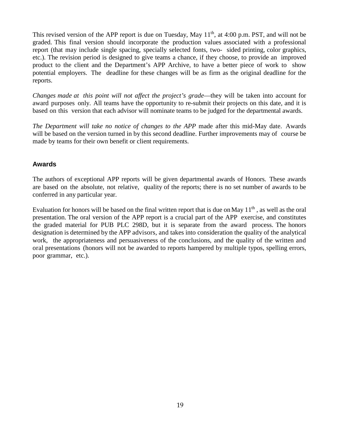This revised version of the APP report is due on Tuesday, May  $11<sup>th</sup>$ , at 4:00 p.m. PST, and will not be graded. This final version should incorporate the production values associated with a professional report (that may include single spacing, specially selected fonts, two- sided printing, color graphics, etc.). The revision period is designed to give teams a chance, if they choose, to provide an improved product to the client and the Department's APP Archive, to have a better piece of work to show potential employers. The deadline for these changes will be as firm as the original deadline for the reports.

*Changes made at this point will not affect the project's grade*—they will be taken into account for award purposes only. All teams have the opportunity to re-submit their projects on this date, and it is based on this version that each advisor will nominate teams to be judged for the departmental awards.

*The Department will take no notice of changes to the APP* made after this mid-May date. Awards will be based on the version turned in by this second deadline. Further improvements may of course be made by teams for their own benefit or client requirements.

## **Awards**

The authors of exceptional APP reports will be given departmental awards of Honors. These awards are based on the absolute, not relative, quality of the reports; there is no set number of awards to be conferred in any particular year.

Evaluation for honors will be based on the final written report that is due on May  $11<sup>th</sup>$ , as well as the oral presentation. The oral version of the APP report is a crucial part of the APP exercise, and constitutes the graded material for PUB PLC 298D, but it is separate from the award process. The honors designation is determined by the APP advisors, and takes into consideration the quality of the analytical work, the appropriateness and persuasiveness of the conclusions, and the quality of the written and oral presentations (honors will not be awarded to reports hampered by multiple typos, spelling errors, poor grammar, etc.).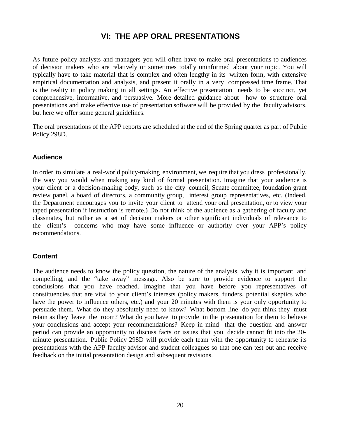## **VI: THE APP ORAL PRESENTATIONS**

As future policy analysts and managers you will often have to make oral presentations to audiences of decision makers who are relatively or sometimes totally uninformed about your topic. You will typically have to take material that is complex and often lengthy in its written form, with extensive empirical documentation and analysis, and present it orally in a very compressed time frame. That is the reality in policy making in all settings. An effective presentation needs to be succinct, yet comprehensive, informative, and persuasive. More detailed guidance about how to structure oral presentations and make effective use of presentation software will be provided by the faculty advisors, but here we offer some general guidelines.

The oral presentations of the APP reports are scheduled at the end of the Spring quarter as part of Public Policy 298D.

### **Audience**

In order to simulate a real-world policy-making environment, we require that you dress professionally, the way you would when making any kind of formal presentation. Imagine that your audience is your client or a decision-making body, such as the city council, Senate committee, foundation grant review panel, a board of directors, a community group, interest group representatives, etc. (Indeed, the Department encourages you to invite your client to attend your oral presentation, or to view your taped presentation if instruction is remote.) Do not think of the audience as a gathering of faculty and classmates, but rather as a set of decision makers or other significant individuals of relevance to the client's concerns who may have some influence or authority over your APP's policy recommendations.

## **Content**

The audience needs to know the policy question, the nature of the analysis, why it is important and compelling, and the "take away" message. Also be sure to provide evidence to support the conclusions that you have reached. Imagine that you have before you representatives of constituencies that are vital to your client's interests (policy makers, funders, potential skeptics who have the power to influence others, etc.) and your 20 minutes with them is your only opportunity to persuade them. What do they absolutely need to know? What bottom line do you think they must retain as they leave the room? What do you have to provide in the presentation for them to believe your conclusions and accept your recommendations? Keep in mind that the question and answer period can provide an opportunity to discuss facts or issues that you decide cannot fit into the 20 minute presentation. Public Policy 298D will provide each team with the opportunity to rehearse its presentations with the APP faculty advisor and student colleagues so that one can test out and receive feedback on the initial presentation design and subsequent revisions.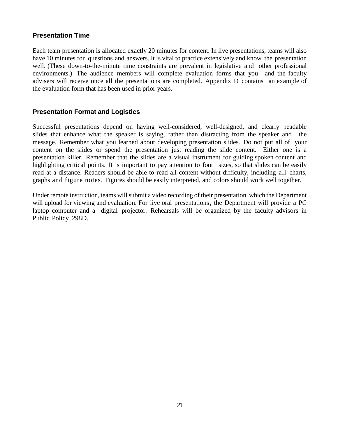### **Presentation Time**

Each team presentation is allocated exactly 20 minutes for content. In live presentations, teams will also have 10 minutes for questions and answers. It is vital to practice extensively and know the presentation well. (These down-to-the-minute time constraints are prevalent in legislative and other professional environments.) The audience members will complete evaluation forms that you and the faculty advisers will receive once all the presentations are completed. Appendix D contains an example of the evaluation form that has been used in prior years.

### **Presentation Format and Logistics**

Successful presentations depend on having well-considered, well-designed, and clearly readable slides that enhance what the speaker is saying, rather than distracting from the speaker and the message. Remember what you learned about developing presentation slides. Do not put all of your content on the slides or spend the presentation just reading the slide content. Either one is a presentation killer. Remember that the slides are a visual instrument for guiding spoken content and highlighting critical points. It is important to pay attention to font sizes, so that slides can be easily read at a distance. Readers should be able to read all content without difficulty, including all charts, graphs and figure notes. Figures should be easily interpreted, and colors should work well together.

Under remote instruction, teams will submit a video recording of their presentation, which the Department will upload for viewing and evaluation. For live oral presentations, the Department will provide a PC laptop computer and a digital projector. Rehearsals will be organized by the faculty advisors in Public Policy 298D.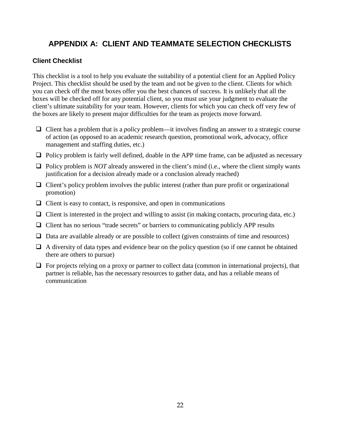## **APPENDIX A: CLIENT AND TEAMMATE SELECTION CHECKLISTS**

## **Client Checklist**

This checklist is a tool to help you evaluate the suitability of a potential client for an Applied Policy Project. This checklist should be used by the team and not be given to the client. Clients for which you can check off the most boxes offer you the best chances of success. It is unlikely that all the boxes will be checked off for any potential client, so you must use your judgment to evaluate the client's ultimate suitability for your team. However, clients for which you can check off very few of the boxes are likely to present major difficulties for the team as projects move forward.

- Client has a problem that is a *policy* problem—it involves finding an answer to a strategic course of action (as opposed to an academic research question, promotional work, advocacy, office management and staffing duties, etc.)
- $\Box$  Policy problem is fairly well defined, doable in the APP time frame, can be adjusted as necessary
- $\Box$  Policy problem is *NOT* already answered in the client's mind (i.e., where the client simply wants justification for a decision already made or a conclusion already reached)
- $\Box$  Client's policy problem involves the public interest (rather than pure profit or organizational promotion)
- $\Box$  Client is easy to contact, is responsive, and open in communications
- $\Box$  Client is interested in the project and willing to assist (in making contacts, procuring data, etc.)
- $\Box$  Client has no serious "trade secrets" or barriers to communicating publicly APP results
- $\Box$  Data are available already or are possible to collect (given constraints of time and resources)
- $\Box$  A diversity of data types and evidence bear on the policy question (so if one cannot be obtained there are others to pursue)
- $\Box$  For projects relying on a proxy or partner to collect data (common in international projects), that partner is reliable, has the necessary resources to gather data, and has a reliable means of communication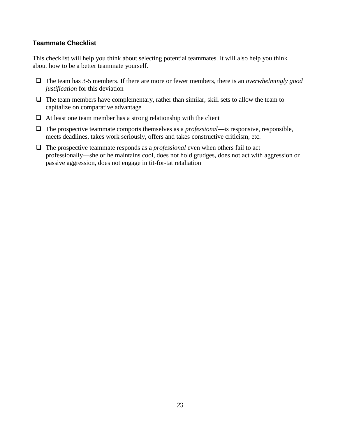## **Teammate Checklist**

This checklist will help you think about selecting potential teammates. It will also help you think about how to be a better teammate yourself.

- The team has 3-5 members. If there are more or fewer members, there is an *overwhelmingly good justification* for this deviation
- $\Box$  The team members have complementary, rather than similar, skill sets to allow the team to capitalize on comparative advantage
- $\Box$  At least one team member has a strong relationship with the client
- □ The prospective teammate comports themselves as a *professional*—is responsive, responsible, meets deadlines, takes work seriously, offers and takes constructive criticism, etc.
- The prospective teammate responds as a *professional* even when others fail to act professionally—she or he maintains cool, does not hold grudges, does not act with aggression or passive aggression, does not engage in tit-for-tat retaliation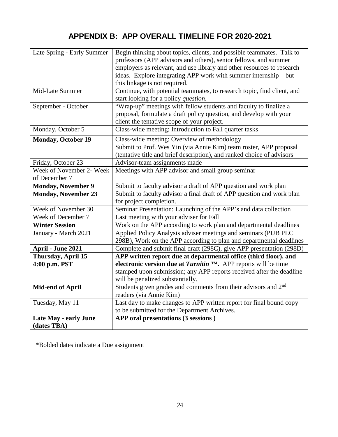## **APPENDIX B: APP OVERALL TIMELINE FOR 2020-2021**

| Late Spring - Early Summer | Begin thinking about topics, clients, and possible teammates. Talk to      |  |  |  |  |  |
|----------------------------|----------------------------------------------------------------------------|--|--|--|--|--|
|                            | professors (APP advisors and others), senior fellows, and summer           |  |  |  |  |  |
|                            | employers as relevant, and use library and other resources to research     |  |  |  |  |  |
|                            | ideas. Explore integrating APP work with summer internship-but             |  |  |  |  |  |
|                            | this linkage is not required.                                              |  |  |  |  |  |
| Mid-Late Summer            | Continue, with potential teammates, to research topic, find client, and    |  |  |  |  |  |
|                            | start looking for a policy question.                                       |  |  |  |  |  |
| September - October        | "Wrap-up" meetings with fellow students and faculty to finalize a          |  |  |  |  |  |
|                            | proposal, formulate a draft policy question, and develop with your         |  |  |  |  |  |
|                            | client the tentative scope of your project.                                |  |  |  |  |  |
| Monday, October 5          | Class-wide meeting: Introduction to Fall quarter tasks                     |  |  |  |  |  |
| <b>Monday, October 19</b>  | Class-wide meeting: Overview of methodology                                |  |  |  |  |  |
|                            | Submit to Prof. Wes Yin (via Annie Kim) team roster, APP proposal          |  |  |  |  |  |
|                            | (tentative title and brief description), and ranked choice of advisors     |  |  |  |  |  |
| Friday, October 23         | Advisor-team assignments made                                              |  |  |  |  |  |
| Week of November 2- Week   | Meetings with APP advisor and small group seminar                          |  |  |  |  |  |
| of December 7              |                                                                            |  |  |  |  |  |
| <b>Monday, November 9</b>  | Submit to faculty advisor a draft of APP question and work plan            |  |  |  |  |  |
| <b>Monday, November 23</b> | Submit to faculty advisor a final draft of APP question and work plan      |  |  |  |  |  |
|                            | for project completion.                                                    |  |  |  |  |  |
| Week of November 30        | Seminar Presentation: Launching of the APP's and data collection           |  |  |  |  |  |
| Week of December 7         | Last meeting with your adviser for Fall                                    |  |  |  |  |  |
| <b>Winter Session</b>      | Work on the APP according to work plan and departmental deadlines          |  |  |  |  |  |
| January - March 2021       | Applied Policy Analysis adviser meetings and seminars (PUB PLC             |  |  |  |  |  |
|                            | 298B), Work on the APP according to plan and departmental deadlines        |  |  |  |  |  |
| April - June 2021          | Complete and submit final draft (298C), give APP presentation (298D)       |  |  |  |  |  |
| Thursday, April 15         | APP written report due at departmental office (third floor), and           |  |  |  |  |  |
| 4:00 p.m. PST              | electronic version due at Turnitin $TM$ . APP reports will be time         |  |  |  |  |  |
|                            | stamped upon submission; any APP reports received after the deadline       |  |  |  |  |  |
|                            | will be penalized substantially.                                           |  |  |  |  |  |
| <b>Mid-end of April</b>    | Students given grades and comments from their advisors and 2 <sup>nd</sup> |  |  |  |  |  |
|                            | readers (via Annie Kim)                                                    |  |  |  |  |  |
| Tuesday, May 11            | Last day to make changes to APP written report for final bound copy        |  |  |  |  |  |
|                            | to be submitted for the Department Archives.                               |  |  |  |  |  |
| Late May - early June      | <b>APP</b> oral presentations (3 sessions)                                 |  |  |  |  |  |
| (dates TBA)                |                                                                            |  |  |  |  |  |

\*Bolded dates indicate a Due assignment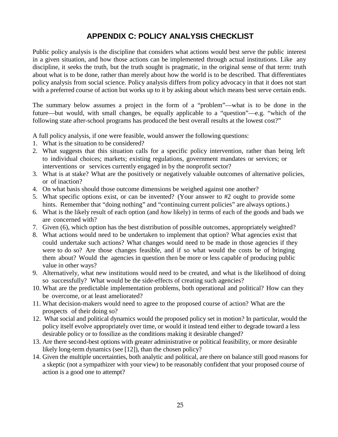## **APPENDIX C: POLICY ANALYSIS CHECKLIST**

Public policy analysis is the discipline that considers what actions would best serve the public interest in a given situation, and how those actions can be implemented through actual institutions. Like any discipline, it seeks the truth, but the truth sought is pragmatic, in the original sense of that term: truth about what is to be done, rather than merely about how the world is to be described. That differentiates policy analysis from social science. Policy analysis differs from policy advocacy in that it does not start with a preferred course of action but works up to it by asking about which means best serve certain ends.

The summary below assumes a project in the form of a "problem"—what is to be done in the future—but would, with small changes, be equally applicable to a "question"—e.g. "which of the following state after-school programs has produced the best overall results at the lowest cost?"

A full policy analysis, if one were feasible, would answer the following questions:

- 1. What is the situation to be considered?
- 2. What suggests that this situation calls for a specific policy intervention, rather than being left to individual choices; markets; existing regulations, government mandates or services; or interventions or services currently engaged in by the nonprofit sector?
- 3. What is at stake? What are the positively or negatively valuable outcomes of alternative policies, or of inaction?
- 4. On what basis should those outcome dimensions be weighed against one another?
- 5. What specific options exist, or can be invented? (Your answer to #2 ought to provide some hints. Remember that "doing nothing" and "continuing current policies" are always options.)
- 6. What is the likely result of each option (and *how* likely) in terms of each of the goods and bads we are concerned with?
- 7. Given (6), which option has the best distribution of possible outcomes, appropriately weighted?
- 8. What actions would need to be undertaken to implement that option? What agencies exist that could undertake such actions? What changes would need to be made in those agencies if they were to do so? Are those changes feasible, and if so what would the costs be of bringing them about? Would the agencies in question then be more or less capable of producing public value in other ways?
- 9. Alternatively, what new institutions would need to be created, and what is the likelihood of doing so successfully? What would be the side-effects of creating such agencies?
- 10. What are the predictable implementation problems, both operational and political? How can they be overcome, or at least ameliorated?
- 11. What decision-makers would need to agree to the proposed course of action? What are the prospects of their doing so?
- 12. What social and political dynamics would the proposed policy set in motion? In particular, would the policy itself evolve appropriately over time, or would it instead tend either to degrade toward a less desirable policy or to fossilize as the conditions making it desirable changed?
- 13. Are there second-best options with greater administrative or political feasibility, or more desirable likely long-term dynamics (see [12]), than the chosen policy?
- 14. Given the multiple uncertainties, both analytic and political, are there on balance still good reasons for a skeptic (not a sympathizer with your view) to be reasonably confident that your proposed course of action is a good one to attempt?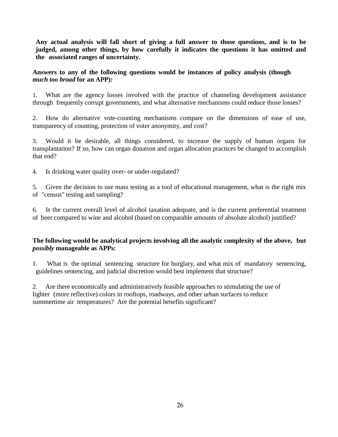**Any actual analysis will fall short of giving a full answer to those questions, and is to be judged, among other things, by how carefully it indicates the questions it has omitted and the associated ranges of uncertainty.**

**Answers to any of the following questions would be instances of policy analysis (though** *much too broad* **for an APP):**

1. What are the agency losses involved with the practice of channeling development assistance through frequently corrupt governments, and what alternative mechanisms could reduce those losses?

2. How do alternative vote-counting mechanisms compare on the dimensions of ease of use, transparency of counting, protection of voter anonymity, and cost?

3. Would it be desirable, all things considered, to increase the supply of human organs for transplantation? If so, how can organ donation and organ allocation practices be changed to accomplish that end?

4. Is drinking water quality over- or under-regulated?

5. Given the decision to use mass testing as a tool of educational management, what is the right mix of "census" testing and sampling?

6. Is the current overall level of alcohol taxation adequate, and is the current preferential treatment of beer compared to wine and alcohol (based on comparable amounts of absolute alcohol) justified?

#### **The following would be analytical projects involving all the analytic complexity of the above, but** *possibly* **manageable as APPs:**

1. What is the optimal sentencing structure for burglary, and what mix of mandatory sentencing, guidelines sentencing, and judicial discretion would best implement that structure?

2. Are there economically and administratively feasible approaches to stimulating the use of lighter (more reflective) colors in rooftops, roadways, and other urban surfaces to reduce summertime air temperatures? Are the potential benefits significant?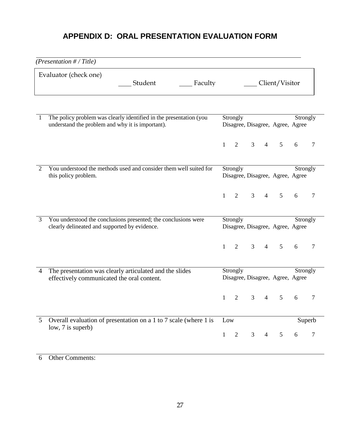## **APPENDIX D: ORAL PRESENTATION EVALUATION FORM**

|                | (Presentation $\# /$ Title)                                                                                            |                                                          |                |                |                |                |                                  |                |
|----------------|------------------------------------------------------------------------------------------------------------------------|----------------------------------------------------------|----------------|----------------|----------------|----------------|----------------------------------|----------------|
|                | Evaluator (check one)<br>Student<br>______ Faculty                                                                     |                                                          |                |                |                | Client/Visitor |                                  |                |
|                |                                                                                                                        |                                                          |                |                |                |                |                                  |                |
| -1             | The policy problem was clearly identified in the presentation (you<br>understand the problem and why it is important). |                                                          | Strongly       |                |                |                | Disagree, Disagree, Agree, Agree | Strongly       |
|                |                                                                                                                        | $\mathbf{1}$                                             |                | $2 \qquad 3$   | $\overline{4}$ | 5              | 6                                | $\overline{7}$ |
| 2              | You understood the methods used and consider them well suited for<br>this policy problem.                              | Strongly<br>Strongly<br>Disagree, Disagree, Agree, Agree |                |                |                |                |                                  |                |
|                |                                                                                                                        | $\mathbf{1}$                                             | 2              | $\mathfrak{Z}$ | $\overline{4}$ | $5^{\circ}$    | 6                                | 7              |
| $\mathfrak{Z}$ | You understood the conclusions presented; the conclusions were<br>clearly delineated and supported by evidence.        | Strongly<br>Strongly<br>Disagree, Disagree, Agree, Agree |                |                |                |                |                                  |                |
|                |                                                                                                                        | 1                                                        | 2              | $\mathfrak{Z}$ | $\overline{4}$ | 5              | 6                                | $\tau$         |
| $\overline{4}$ | The presentation was clearly articulated and the slides<br>effectively communicated the oral content.                  | Strongly<br>Strongly<br>Disagree, Disagree, Agree, Agree |                |                |                |                |                                  |                |
|                |                                                                                                                        | 1                                                        | 2              | $\mathfrak{Z}$ | $\overline{4}$ | 5              | 6                                | 7              |
| 5              | Overall evaluation of presentation on a 1 to 7 scale (where 1 is<br>low, 7 is superb)                                  |                                                          | Low<br>Superb  |                |                |                |                                  |                |
|                |                                                                                                                        | 1                                                        | $\overline{2}$ | 3              | $\overline{4}$ | 5              | 6                                | 7              |
| 6              | Other Comments:                                                                                                        |                                                          |                |                |                |                |                                  |                |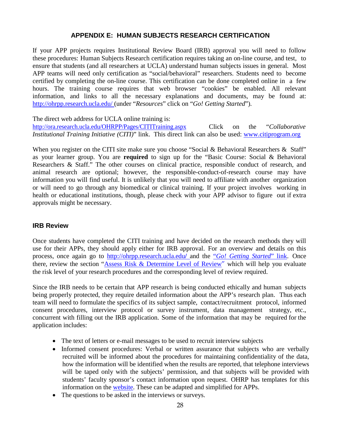### **APPENDIX E: HUMAN SUBJECTS RESEARCH CERTIFICATION**

If your APP projects requires Institutional Review Board (IRB) approval you will need to follow these procedures: Human Subjects Research certification requires taking an on-line course, and test, to ensure that students (and all researchers at UCLA) understand human subjects issues in general. Most APP teams will need only certification as "social/behavioral" researchers. Students need to become certified by completing the on-line course. This certification can be done completed online in a few hours. The training course requires that web browser "cookies" be enabled. All relevant information, and links to all the necessary explanations and documents, may be found at: <http://ohrpp.research.ucla.edu/> (under "*Resources*" click on "*Go! Getting Started*").

The direct web address for UCLA online training is:

<http://ora.research.ucla.edu/OHRPP/Pages/CITITraining.aspx> Click on the "*Collaborative Institutional Training Initiative (CITI)*" link. This direct link can also be used: [www.citiprogram.org](http://www.citiprogram.org/)

When you register on the CITI site make sure you choose "Social & Behavioral Researchers  $\&$  Staff" as your learner group. You are **required** to sign up for the "Basic Course: Social & Behavioral Researchers & Staff." The other courses on clinical practice, responsible conduct of research, and animal research are optional; however, the responsible-conduct-of-research course may have information you will find useful. It is unlikely that you will need to affiliate with another organization or will need to go through any biomedical or clinical training. If your project involves working in health or educational institutions, though, please check with your APP advisor to figure out if extra approvals might be necessary.

#### **IRB Review**

Once students have completed the CITI training and have decided on the research methods they will use for their APPs, they should apply either for IRB approval. For an overview and details on this process, once again go to [http://ohrpp.research.ucla.edu](http://ohrpp.research.ucla.edu/)**/** and the "*Go! [Getting](http://ora.research.ucla.edu/OHRPP/Pages/GettingStarted.aspx) Started*" link. Once there, review the section "Assess Risk & [Determine](http://ora.research.ucla.edu/OHRPP/Pages/GettingStarted.aspx#assess) Level of Review" which will help you evaluate the risk level of your research procedures and the corresponding level of review required.

Since the IRB needs to be certain that APP research is being conducted ethically and human subjects being properly protected, they require detailed information about the APP's research plan. Thus each team will need to formulate the specifics of its subject sample, contact/recruitment protocol, informed consent procedures, interview protocol or survey instrument, data management strategy, etc., concurrent with filling out the IRB application. Some of the information that may be required for the application includes:

- The text of letters or e-mail messages to be used to recruit interview subjects
- Informed consent procedures: Verbal or written assurance that subjects who are verbally recruited will be informed about the procedures for maintaining confidentiality of the data, how the information will be identified when the results are reported, that telephone interviews will be taped only with the subjects' permission, and that subjects will be provided with students' faculty sponsor's contact information upon request. OHRP has templates for this information on the [website.](http://ora.research.ucla.edu/OHRPP/Pages/ConsentTemplates.aspx#minimal) These can be adapted and simplified for APPs.
- The questions to be asked in the interviews or surveys.